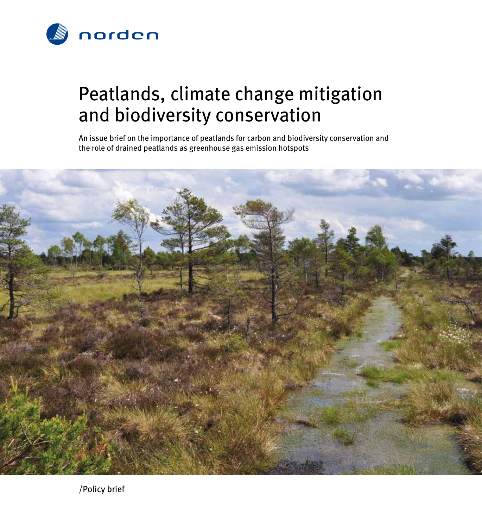

## Peatlands, climate change mitigation and biodiversity conservation

An issue brief on the importance of peatlands for carbon and biodiversity conservation and the role of drained peatlands as greenhouse gas emission hotspots

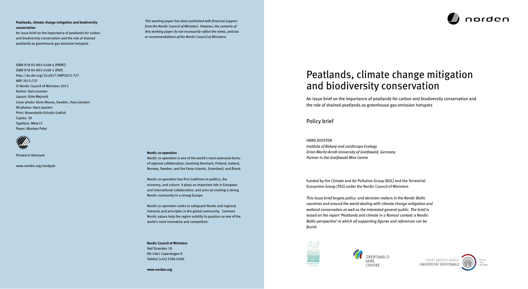#### **Peatlands, climate change mitigation and biodiversity conservation**

An issue brief on the importance of peatlands for carbon and biodiversity conservation and the role of drained peatlands as greenhouse gas emission hotspots

ISBN 978-92-893-4168-4 (PRINT) ISBN 978-92-893-4169-1 (PDF) http://dx.doi.org/10.6027/ANP2015-727 ANP 2015:727 © Nordic Council of Ministers 2015 Author: Hans Joosten Layout: Gitte Wejnold Cover photo: Store Mosse, Sweden, Hans Joosten All photos: Hans Joosten Print: Rosendahls-Schultz Grafisk Copies: 50 Typeface: Meta LF Paper: Munken Polar

Printed in Denmark

www.norden.org/nordpub

#### **Nordic co-operation**

*Nordic co-operation* is one of the world's most extensive forms of regional collaboration, involving Denmark, Finland, Iceland, Norway, Sweden, and the Faroe Islands, Greenland, and Åland.

*Nordic co-operation* has firm traditions in politics, the economy, and culture. It plays an important role in European and international collaboration, and aims at creating a strong Nordic community in a strong Europe.

*Nordic co-operation* seeks to safeguard Nordic and regional interests and principles in the global community. Common Nordic values help the region solidify its position as one of the world's most innovative and competitive.

**Nordic Council of Ministers** Ved Stranden 18 DK-1061 Copenhagen K Telefon (+45) 3396 0200

**www.norden.org**

*This working paper has been published with financial support from the Nordic Council of Ministers. However, the contents of this working paper do not necessarily reflect the views, policies or recommendations of the Nordic Council of Ministers.*

# Peatlands, climate change mitigation and biodiversity conservation

An issue brief on the importance of peatlands for carbon and biodiversity conservation and the role of drained peatlands as greenhouse gas emission hotspots

Policy brief

#### Hans Joosten

*Institute of Botany and Landscape Ecology Ernst-Moritz-Arndt-University of Greifswald, Germany Partner in the Greifswald Mire Centre*

Funded by the Climate and Air Pollution Group (KOL) and the Terrestrial Ecosystem Group (TEG) under the Nordic Council of Ministers

*This issue brief targets policy- and decision-makers in the Nordic Baltic countries and around the world dealing with climate change mitigation and wetland conservation as well as the interested general public. The brief is based on the report 'Peatlands and climate in a Ramsar context: a Nordic-Baltic perspective' in which all supporting figures and references can be found.*









ERNST MORITZ ARNDT UNIVERSITÄT GREIFSWALD

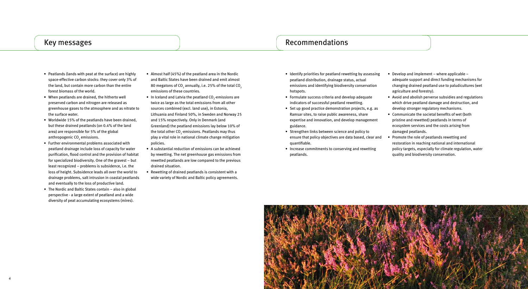### Key messages and the commendations of the commendations of the commendations of the commendations of the commendations of the commendations of the commendations of the commendations of the commendations of the commendation



• Develop and implement – where applicable –

- Identify priorities for peatland rewetting by assessing peatland distribution, drainage status, actual emissions and identifying biodiversity conservation hotspots.
- • Formulate success criteria and develop adequate indicators of successful peatland rewetting.
- Set up good practice demonstration projects, e.g. as Ramsar sites, to raise public awareness, share expertise and innovation, and develop management guidance.
- Strengthen links between science and policy to ensure that policy objectives are data based, clear and quantifiable.
- Increase commitments to conserving and rewetting peatlands.
- adequate support and direct funding mechanisms for changing drained peatland use to paludicultures (wet agriculture and forestry).
- Avoid and abolish perverse subsidies and regulations which drive peatland damage and destruction, and develop stronger regulatory mechanisms.
- Communicate the societal benefits of wet (both pristine and rewetted) peatlands in terms of ecosystem services and the costs arising from
- damaged peatlands.
- Promote the role of peatlands rewetting and
- restoration in reaching national and international
- policy targets, especially for climate regulation, water
- quality and biodiversity conservation.
- Peatlands (lands with peat at the surface) are highly space-effective carbon stocks: they cover only 3% of the land, but contain more carbon than the entire forest biomass of the world.
- When peatlands are drained, the hitherto well preserved carbon and nitrogen are released as greenhouse gases to the atmosphere and as nitrate to the surface water.
- • Worldwide 15% of the peatlands have been drained, but these drained peatlands (on 0.4% of the land area) are responsible for 5% of the global anthropogenic CO<sub>2</sub> emissions.
- • Further environmental problems associated with peatland drainage include loss of capacity for water purification, flood control and the provision of habitat for specialized biodiversity. One of the gravest – but least recognized – problems is subsidence, i.e. the loss of height. Subsidence leads all over the world to drainage problems, salt intrusion in coastal peatlands and eventually to the loss of productive land.
- The Nordic and Baltic States contain also in global perspective - a large extent of peatland and a wide diversity of peat accumulating ecosystems (mires).
- Almost half (45%) of the peatland area in the Nordic and Baltic States have been drained and emit almost 80 megatons of CO $_{_2}$  annually, i.e. 25% of the total CO $_{_2}$ emissions of these countries.
- In Iceland and Latvia the peatland  $CO_2$ -emissions are twice as large as the total emissions from all other sources combined (excl. land use), in Estonia, Lithuania and Finland 50%, in Sweden and Norway 25 and 15% respectively. Only in Denmark (and Greenland) the peatland emissions lay below 10% of the total other CO $_2^{\vphantom{\dagger}}$ -emissions. Peatlands may thus play a vital role in national climate change mitigation policies.
- A substantial reduction of emissions can be achieved by rewetting. The net greenhouse gas emissions from rewetted peatlands are low compared to the previous drained situation.
- Rewetting of drained peatlands is consistent with a wide variety of Nordic and Baltic policy agreements.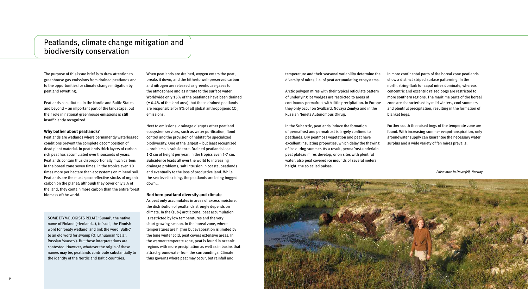## Peatlands, climate change mitigation and biodiversity conservation

*7*

The purpose of this issue brief is to draw attention to greenhouse gas emissions from drained peatlands and to the opportunities for climate change mitigation by peatland rewetting.

Peatlands constitute – in the Nordic and Baltic States and beyond – an important part of the landscape, but their role in national greenhouse emissions is still insufficiently recognized.

#### **Why bother about peatlands?**

Peatlands are wetlands where permanently waterlogged conditions prevent the complete decomposition of dead plant material. In peatlands thick layers of carbon rich peat has accumulated over thousands of years. Peatlands contain thus disproportionally much carbon: in the boreal zone seven times, in the tropics even 10 times more per hectare than ecosystems on mineral soil. Peatlands are the most space-effective stocks of organic carbon on the planet: although they cover only 3% of the land, they contain more carbon than the entire forest biomass of the world.

When peatlands are drained, oxygen enters the peat, breaks it down, and the hitherto well-preserved carbon and nitrogen are released as greenhouse gases to the atmosphere and as nitrate to the surface water. Worldwide only 15% of the peatlands have been drained  $(= 0.4\%$  of the land area), but these drained peatlands are responsible for 5% of all global anthropogenic CO<sub>2</sub> emissions.

Next to emissions, drainage disrupts other peatland ecosystem services, such as water purification, flood control and the provision of habitat for specialized biodiversity. One of the largest – but least recognized – problems is subsidence. Drained peatlands lose 1-2 cm of height per year, in the tropics even 5-7 cm. Subsidence leads all over the world to increasing drainage problems, salt intrusion in coastal peatlands and eventually to the loss of productive land. While the sea level is rising, the peatlands are being bogged down…

#### **Northern peatland diversity and climate**

As peat only accumulates in areas of excess moisture, the distribution of peatlands strongly depends on climate. In the (sub-) arctic zone, peat accumulation is restricted by low temperatures and the very short growing season. In the boreal zone, where temperatures are higher but evaporation is limited by the long winter cold, peat covers extensive areas. In the warmer temperate zone, peat is found in oceanic regions with more precipitation as well as in basins that attract groundwater from the surroundings. Climate thus governs where peat may occur, but rainfall and

Some etymologists relate 'Suomi', the native name of Finland (~fenland…), to 'suo', the Finnish word for 'peaty wetland' and link the word 'Baltic' to an old word for swamp (cf. Lithuanian 'bala', Russian 'болото'). But these interpretations are contested. However, whatever the origin of these names may be, peatlands contribute substantially to the identity of the Nordic and Baltic countries.

temperature and their seasonal variability determine the diversity of mires, i.e. of peat accumulating ecosystems.

Arctic polygon mires with their typical reticulate pattern of underlying ice wedges are restricted to areas of continuous permafrost with little precipitation. In Europe they only occur on Svalbard, Novaya Zemlya and in the Russian Nenets Autonomous Okrug.

In the Subarctic, peatlands induce the formation of permafrost and permafrost is largely confined to peatlands. Dry peatmoss vegetation and peat have excellent insulating properties, which delay the thawing of ice during summer. As a result, permafrost-underlain peat plateau mires develop, or on sites with plentiful water, also peat covered ice mounds of several meters height, the so called palsas.

In more continental parts of the boreal zone peatlands show a distinct striped surface patterning. In the north, string-flark (or aapa) mires dominate, whereas concentric and excentric raised bogs are restricted to more southern regions. The maritime parts of the boreal zone are characterised by mild winters, cool summers and plentiful precipitation, resulting in the formation of blanket bogs. Further south the raised bogs of the temperate zone are



found. With increasing summer evapotranspiration, only groundwater supply can guarantee the necessary water surplus and a wide variety of fen mires prevails.

*Palsa mire in Dovrefell, Norway*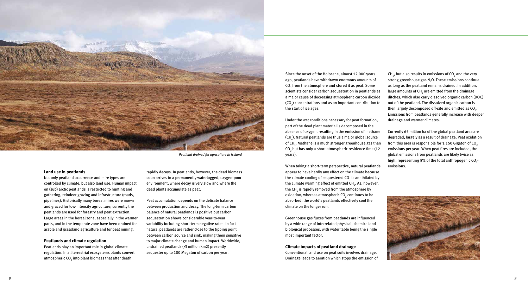#### **Land use in peatlands**

Not only peatland occurrence and mire types are controlled by climate, but also land use. Human impact on (sub) arctic peatlands is restricted to hunting and gathering, reindeer grazing and infrastructure (roads, pipelines). Historically many boreal mires were mown and grazed for low-intensity agriculture; currently the peatlands are used for forestry and peat extraction. Large areas in the boreal zone, especially in the warmer parts, and in the temperate zone have been drained for arable and grassland agriculture and for peat mining.

Peatlands play an important role in global climate regulation. In all terrestrial ecosystems plants convert atmospheric CO $_{_2}$  into plant biomass that after death

#### **Peatlands and climate regulation**

rapidly decays. In peatlands, however, the dead biomass soon arrives in a permanently waterlogged, oxygen-poor environment, where decay is very slow and where the dead plants accumulate as peat.

Peat accumulation depends on the delicate balance between production and decay. The long-term carbon balance of natural peatlands is positive but carbon sequestration shows considerable year-to-year variability including short-term negative rates. In fact natural peatlands are rather close to the tipping point between carbon source and sink, making them sensitive to major climate change and human impact. Worldwide, undrained peatlands (>3 million km2) presently sequester up to 100 Megaton of carbon per year.

Since the onset of the Holocene, almost 12,000 years ago, peatlands have withdrawn enormous amounts of  $\mathrm{CO}_2^{}$  from the atmosphere and stored it as peat. Some scientists consider carbon sequestration in peatlands as a major cause of decreasing atmospheric carbon dioxide (CO<sub>2</sub>) concentrations and as an important contribution to the start of ice ages.

CH $_{\textrm{\tiny{A}}}$ , but also results in emissions of CO $_{\textrm{\tiny{2}}}$  and the very strong greenhouse gas  $\text{N}_2\text{O}$ . These emissions continue as long as the peatland remains drained. In addition, large amounts of CH $_{_4}$  are emitted from the drainage ditches, which also carry dissolved organic carbon (DOC) out of the peatland. The dissolved organic carbon is then largely decomposed off-site and emitted as CO<sub>2</sub>. Emissions from peatlands generally increase with deeper drainage and warmer climates.

Under the wet conditions necessary for peat formation, part of the dead plant material is decomposed in the absence of oxygen, resulting in the emission of methane (CH $_{\scriptscriptstyle 4}$ ). Natural peatlands are thus a major global source of CH<sub>4</sub>. Methane is a much stronger greenhouse gas than CO<sub>2</sub> but has only a short atmospheric residence time (12 years).

When taking a short-term perspective, natural peatlands appear to have hardly any effect on the climate because the climate cooling of sequestered CO $_2$  is annihilated by the climate warming effect of emitted CH $_{\textrm{\tiny{4}}}$ . As, however, the CH $_{\textrm{\tiny{4}}}$  is rapidly removed from the atmosphere by oxidation, whereas atmospheric CO $_2$  continues to be absorbed, the world's peatlands effectively cool the climate on the longer run.

Greenhouse gas fluxes from peatlands are influenced by a wide range of interrelated physical, chemical and biological processes, with water table being the single most important factor.

#### **Climate impacts of peatland drainage**

Conventional land use on peat soils involves drainage. Drainage leads to aeration which stops the emission of

Currently 65 million ha of the global peatland area are degraded, largely as a result of drainage. Peat oxidation from this area is responsible for  $1,150$  Gigaton of CO<sub>2</sub> emissions per year. When peat fires are included, the global emissions from peatlands are likely twice as high, representing 5% of the total anthropogenic CO<sub>2</sub>emissions.





*Peatland drained for agriculture in Iceland*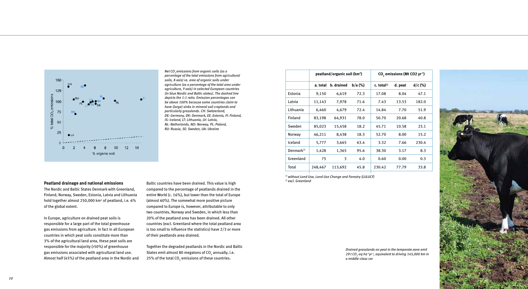

| Peatland drainage and national emissions |  |  |  |  |
|------------------------------------------|--|--|--|--|
|------------------------------------------|--|--|--|--|

The Nordic and Baltic States Denmark with Greenland, Finland, Norway, Sweden, Estonia, Latvia and Lithuania hold together almost 250,000 km<sup>2</sup> of peatland, i.e. 6% of the global extent.

In Europe, agriculture on drained peat soils is responsible for a large part of the total greenhouse gas emissions from agriculture. In fact in all European countries in which peat soils constitute more than 3% of the agricultural land area, these peat soils are responsible for the majority (>50%) of greenhouse gas emissions associated with agricultural land use. Almost half (45%) of the peatland area in the Nordic and

Together the degraded peatlands in the Nordic and Baltic States emit almost 80 megatons of CO<sub>2</sub> annually, i.e. 25% of the total CO<sub>2</sub> emissions of these countries.

Baltic countries have been drained. This value is high compared to the percentage of peatlands drained in the entire World (c. 16%), but lower than the total of Europe (almost 60%). The somewhat more positive picture compared to Europe is, however, attributable to only two countries, Norway and Sweden, in which less than 20% of the peatland area has been drained. All other countries (excl. Greenland where the total peatland area is too small to influence the statistics) have 2/3 or more of their peatlands area drained.



*Net CO2 emissions from organic soils (as a percentage of the total emissions from agricultural soils, X-axis) vs. area of organic soils under agriculture (as a percentage of the total area under agriculture, Y-axis) in selected European countries (In blue Nordic and Baltic states). The dashed line depicts the 1:1 ratio. Emission percentages can be above 100% because some countries claim to have (large) sinks in mineral soil croplands and particularly grasslands. CH: Switzerland, DE: Germany, DK: Denmark, EE: Estonia, FI: Finland, IS: Iceland, LT: Lithuania, LV: Latvia, NL: Netherlands, NO: Norway, PL: Poland, RU: Russia, SE: Sweden, UA: Ukraine*

> *1) without Land Use, Land Use Change and Forestry (LULUCF) 2) excl. Greenland*

> > *Drained grasslands on peat in the temperate zone emit 29 t CO2 -eq ha-1yr-1, equivalent to driving 145,000 km in a middle-class car*

| emissions (Mt CO2 yr <sup>1</sup> ) |         |           |  |  |  |
|-------------------------------------|---------|-----------|--|--|--|
| ıl <sup>1)</sup>                    | d. peat | $d/c$ (%) |  |  |  |
| 8                                   | 8.04    | 47.1      |  |  |  |
| 3                                   | 13.53   | 182.0     |  |  |  |
| 4                                   | 7.70    | 51.9      |  |  |  |
| 0                                   | 20.68   | 40.8      |  |  |  |
| 1                                   | 10.58   | 23.1      |  |  |  |
| 0                                   | 8.00    | 15.2      |  |  |  |
| 2                                   | 7.66    | 230.4     |  |  |  |
| 0                                   | 3.17    | 8.3       |  |  |  |
| 0                                   | 0.00    | 0.3       |  |  |  |
| $\overline{c}$                      | 77.79   | 33.8      |  |  |  |

|                       | peatland/organic soil (km <sup>2</sup> ) |            | CO <sub>2</sub> emissions (Mt CO <sub>2</sub> yr <sup>1</sup> ) |                          |         |           |
|-----------------------|------------------------------------------|------------|-----------------------------------------------------------------|--------------------------|---------|-----------|
|                       | a. total                                 | b. drained | $b/a$ (%)                                                       | $c.$ total <sup>1)</sup> | d. peat | $d/c$ (%) |
| Estonia               | 9,150                                    | 6,619      | 72.3                                                            | 17.08                    | 8.04    | 47.1      |
| Latvia                | 11,143                                   | 7,978      | 71.6                                                            | 7.43                     | 13.53   | 182.0     |
| Lithuania             | 6,460                                    | 4,679      | 72.4                                                            | 14.84                    | 7.70    | 51.9      |
| Finland               | 83,198                                   | 64,931     | 78.0                                                            | 50.70                    | 20.68   | 40.8      |
| Sweden                | 85,023                                   | 15,458     | 18.2                                                            | 45.71                    | 10.58   | 23.1      |
| Norway                | 46,211                                   | 8,438      | 18.3                                                            | 52.70                    | 8.00    | 15.2      |
| Iceland               | 5,777                                    | 3,665      | 63.4                                                            | 3.32                     | 7.66    | 230.4     |
| Denmark <sup>2)</sup> | 1,428                                    | 1,365      | 95.6                                                            | 38.30                    | 3.17    | 8.3       |
| Greenland             | 75                                       | 3          | 4.0                                                             | 0.60                     | 0.00    | 0.3       |
| Total                 | 248,467                                  | 113,692    | 45.8                                                            | 230.42                   | 77.79   | 33.8      |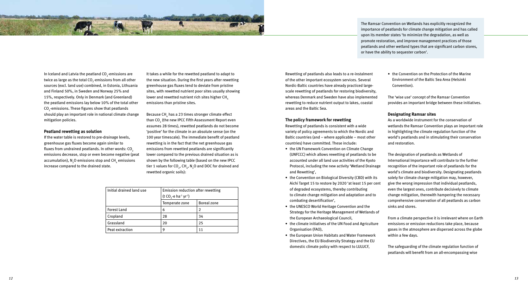In Iceland and Latvia the peatland CO $_2^{\text{-}}$ emissions are twice as large as the total CO $_2^{}$ -emissions from all other sources (excl. land use) combined, in Estonia, Lithuania and Finland 50%, in Sweden and Norway 25% and 15%, respectively. Only in Denmark (and Greenland) the peatland emissions lay below 10% of the total other  $\mathrm{CO}_2$ -emissions. These figures show that peatlands should play an important role in national climate change mitigation policies.

#### **Peatland rewetting as solution**

If the water table is restored to pre-drainage levels, greenhouse gas fluxes become again similar to fluxes from undrained peatlands. In other words:  $CO<sub>2</sub>$ emissions decrease, stop or even become negative (peat accumulation),  $\mathsf{N}_\mathfrak{z}$ O emissions stop and CH $_\mathfrak{q}$  emissions increase compared to the drained state.

Because CH $_{\textrm{\tiny{4}}}$  has a 23 times stronger climate effect than CO $_{{}_2}$  (the new IPCC Fifth Assessment Report even assumes 28 times), rewetted peatlands do not become 'positive' for the climate in an absolute sense (on the 100 year timescale). The immediate benefit of peatland rewetting is in the fact that the net greenhouse gas emissions from rewetted peatlands are significantly lower compared to the previous drained situation as is shown by the following table (based on the new IPCC tier 1 values for CO<sub>2</sub>, CH<sub>4</sub>, N<sub>2</sub>O and DOC for drained and rewetted organic soils):

It takes a while for the rewetted peatland to adapt to the new situation. During the first years after rewetting greenhouse gas fluxes tend to deviate from pristine sites, with rewetted nutrient poor sites usually showing lower and rewetted nutrient rich sites higher CH<sub>4</sub> emissions than pristine sites.

GL.

- the UN Framework Convention on Climate Change (UNFCCC) which allows rewetting of peatlands to be accounted under all land use activities of the Kyoto Protocol, including the new activity 'Wetland Drainage and Rewetting',
- the Convention on Biological Diversity (CBD) with its Aichi Target 15 to restore by 2020 'at least 15 per cent of degraded ecosystems, thereby contributing to climate change mitigation and adaptation and to combating desertification',
- the UNESCO World Heritage Convention and the Strategy for the Heritage Management of Wetlands of the European Archaeological Council,
- the climate initiatives of the UN Food and Agriculture Organisation (FAO),
- the European Union Habitats and Water Framework Directives, the EU Biodiversity Strategy and the EU domestic climate policy with respect to LULUCF,

• the Convention on the Protection of the Marine Environment of the Baltic Sea Area (Helsinki Convention).

Rewetting of peatlands also leads to a re-instalment of the other important ecosystem services. Several Nordic-Baltic countries have already practiced largescale rewetting of peatlands for restoring biodiversity, whereas Denmark and Sweden have also implemented rewetting to reduce nutrient output to lakes, coastal areas and the Baltic Sea.

#### **The policy framework for rewetting**

Rewetting of peatlands is consistent with a wide variety of policy agreements to which the Nordic and Baltic countries (and – where applicable – most other countries) have committed. These include:

The 'wise use' concept of the Ramsar Convention provides an important bridge between these initiatives.

#### **Designating Ramsar sites**

As a worldwide instrument for the conservation of wetlands the Ramsar Convention plays an important role in highlighting the climate regulation function of the world's peatlands and in stimulating their conservation and restoration.

The designation of peatlands as Wetlands of International Importance will contribute to the further recognition of the important role of peatlands for the world's climate and biodiversity. Designating peatlands solely for climate change mitigation may, however, give the wrong impression that individual peatlands, even the largest ones, contribute decisively to climate change mitigation, therewith hampering the necessary comprehensive conservation of all peatlands as carbon sinks and stores.

From a climate perspective it is irrelevant where on Earth emissions or emission reductions take place, because gases in the atmosphere are dispersed across the globe within a few days.

The safeguarding of the climate regulation function of peatlands will benefit from an all-encompassing wise

The Ramsar Convention on Wetlands has explicitly recognized the importance of peatlands for climate change mitigation and has called upon its member states 'to minimize the degradation, as well as promote restoration, and improve management practices of those peatlands and other wetland types that are significant carbon stores, or have the ability to sequester carbon'.

| Initial drained land use | Emission reduction after rewetting<br>(t CO <sub>2</sub> -e ha <sup>-1</sup> yr <sup>-1</sup> ) |                    |
|--------------------------|-------------------------------------------------------------------------------------------------|--------------------|
|                          | Temperate zone                                                                                  | <b>Boreal zone</b> |
| <b>Forest Land</b>       | 6                                                                                               | $\mathcal{P}$      |
| Cropland                 | 28                                                                                              | 34                 |
| Grassland                | 20                                                                                              | 25                 |
| Peat extraction          | 9                                                                                               |                    |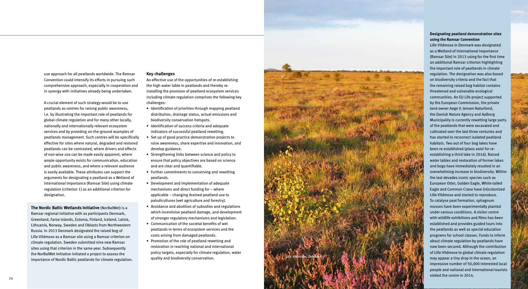*15*



use approach for all peatlands worldwide. The Ramsar Convention could intensify its efforts in pursuing such comprehensive approach, especially in cooperation and in synergy with initiatives already being undertaken.

A crucial element of such strategy would be to use peatlands as centres for raising public awareness, i.e. by illustrating the important role of peatlands for global climate regulation and for many other locally, nationally and internationally relevant ecosystem services and by providing on-the-ground examples of peatlands management. Such centres will be specifically effective for sites where natural, degraded and restored peatlands can be contrasted, where drivers and effects of non-wise use can be made easily apparent, where ample opportunity exists for communication, education and public awareness, and where a relevant audience is easily available. These attributes can support the arguments for designating a peatland as a Wetland of International Importance (Ramsar Site) using climate regulation (criterion 1) as an additional criterion for designation.

#### **Key challenges**

An effective use of the opportunities of re-establishing the high water table in peatlands and thereby reinstalling the provision of peatland ecosystem services including climate regulation comprises the following key challenges:

- Identification of priorities through mapping peatland distribution, drainage status, actual emissions and biodiversity conservation hotspots.
- Identification of success criteria and adequate indicators of successful peatland rewetting.
- Set up of good practice demonstration projects to raise awareness, share expertise and innovation, and develop guidance.
- Strengthening links between science and policy to ensure that policy objectives are based on science and are clear and quantifiable.
- Further commitments to conserving and rewetting peatlands.
- • Development and implementation of adequate mechanisms and direct funding for – where applicable – changing drained peatland use to paludicultures (wet agriculture and forestry).
- • Avoidance and abolition of subsidies and regulations which incentivise peatland damage, and development of stronger regulatory mechanisms and legislation.
- • Communication of the societal benefits of wet peatlands in terms of ecosystem services and the costs arising from damaged peatlands.
- Promotion of the role of peatland rewetting and restoration in reaching national and international policy targets, especially for climate regulation, water quality and biodiversity conservation.

**The Nordic Baltic Wetlands Initiative** (NorBalWet) is a Ramsar regional initiative with as participants Denmark, Greenland, Faroe Islands, Estonia, Finland, Iceland, Latvia, Lithuania, Norway, Sweden and Oblasts from Northwestern Russia. In 2013 Denmark designated the raised bog of Lille Vildmose as a Ramsar site using a Ramsar criterion on climate regulation. Sweden submitted nine new Ramsar sites using that criterion in the same year. Subsequently the NorBalWet Initiative initiated a project to assess the importance of Nordic Baltic peatlands for climate regulation.

### **Designating peatland demonstration sites using the Ramsar Convention**

Lille Vildmose in Denmark was designated as a Wetland of International Importance (Ramsar Site) in 2013 using for the first time an additional Ramsar criterion highlighting the important role of peatlands in climate regulation. The designation was also based on biodiversity criteria and the fact that the remaining raised bog habitat contains threatened and vulnerable ecological communities. An EU Life project supported by the European Commission, the private land owner Aage V. Jensen Naturfond, the Danish Nature Agency and Aalborg Municipality is currently rewetting large parts of the peatlands that were excavated and cultivated over the last three centuries and has started to reconnect isolated peatland habitats. Two out of four bog lakes have been re-established (plans exist for reestablishing a third lake in 2016). Raised water tables and restoration of former lakes and bogs have immediately resulted in an overwhelming increase in biodiversity. Within the last devades iconic species such as European Otter, Golden Eagle, White-tailed Eagle and Common Crane have (re)colonized Lille Vildmose and started to reproduce. To catalyse peat formation, sphagnum mosses have been experimentally planted under various conditions. A visitor centre with wildlife exhibitions and films has been established and provides guided tours into the peatlands as well as special education programs for school classes. Funds to inform about climate regulation by peatlands have now been secured. Although the contribution of Lille Vildmose to global climate regulation may appear a tiny drop in the ocean, an impressive number of 50,000 interested local people and national and international tourists visited the centre in 2014.

*Lille Vildmose, Denmark*